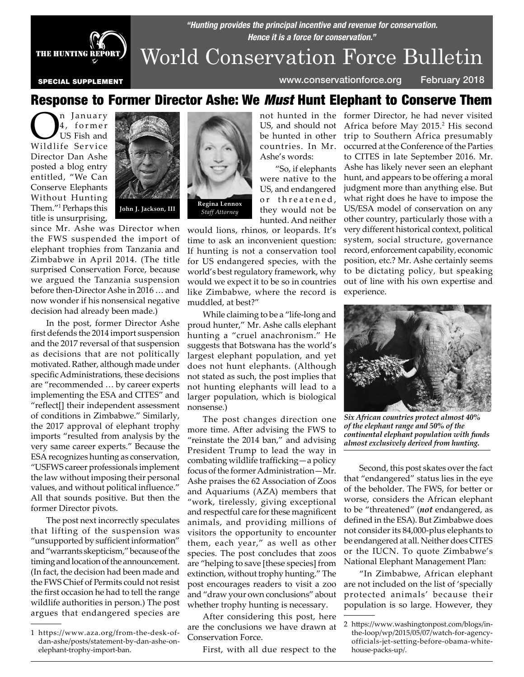

*"Hunting provides the principal incentive and revenue for conservation. Hence it is a force for conservation."*

World Conservation Force Bulletin

countries. In Mr. Ashe's words:

"So, if elephants were native to the US, and endangered or threatened, they would not be hunted. And neither

SPECIAL SUPPLEMENT www.conservationforce.org February 2018

## Response to Former Director Ashe: We Must Hunt Elephant to Conserve Them

**On** January<br>4, former<br>Wildlife Service 4, former US Fish and Director Dan Ashe posted a blog entry entitled, "We Can Conserve Elephants Without Hunting Them."1 Perhaps this title is unsurprising,



since Mr. Ashe was Director when the FWS suspended the import of elephant trophies from Tanzania and Zimbabwe in April 2014. (The title surprised Conservation Force, because we argued the Tanzania suspension before then-Director Ashe in 2016 … and now wonder if his nonsensical negative decision had already been made.)

In the post, former Director Ashe first defends the 2014 import suspension and the 2017 reversal of that suspension as decisions that are not politically motivated. Rather, although made under specific Administrations, these decisions are "recommended … by career experts implementing the ESA and CITES" and "reflect[] their independent assessment of conditions in Zimbabwe." Similarly, the 2017 approval of elephant trophy imports "resulted from analysis by the very same career experts." Because the ESA recognizes hunting as conservation, "USFWS career professionals implement the law without imposing their personal values, and without political influence." All that sounds positive. But then the former Director pivots.

The post next incorrectly speculates that lifting of the suspension was "unsupported by sufficient information" and "warrants skepticism," because of the timing and location of the announcement. (In fact, the decision had been made and the FWS Chief of Permits could not resist the first occasion he had to tell the range wildlife authorities in person.) The post argues that endangered species are



would lions, rhinos, or leopards. It's time to ask an inconvenient question: If hunting is not a conservation tool for US endangered species, with the world's best regulatory framework, why would we expect it to be so in countries like Zimbabwe, where the record is muddled, at best?"

While claiming to be a "life-long and proud hunter," Mr. Ashe calls elephant hunting a "cruel anachronism." He suggests that Botswana has the world's largest elephant population, and yet does not hunt elephants. (Although not stated as such, the post implies that not hunting elephants will lead to a larger population, which is biological nonsense.)

The post changes direction one more time. After advising the FWS to "reinstate the 2014 ban," and advising President Trump to lead the way in combating wildlife trafficking—a policy focus of the former Administration—Mr. Ashe praises the 62 Association of Zoos and Aquariums (AZA) members that "work, tirelessly, giving exceptional and respectful care for these magnificent animals, and providing millions of visitors the opportunity to encounter them, each year," as well as other species. The post concludes that zoos are "helping to save [these species] from extinction, without trophy hunting." The post encourages readers to visit a zoo and "draw your own conclusions" about whether trophy hunting is necessary.

After considering this post, here are the conclusions we have drawn at Conservation Force.

First, with all due respect to the

not hunted in the former Director, he had never visited US, and should not Africa before May 2015.<sup>2</sup> His second be hunted in other trip to Southern Africa presumably occurred at the Conference of the Parties to CITES in late September 2016. Mr. Ashe has likely never seen an elephant hunt, and appears to be offering a moral judgment more than anything else. But what right does he have to impose the US/ESA model of conservation on any other country, particularly those with a very different historical context, political system, social structure, governance record, enforcement capability, economic position, etc.? Mr. Ashe certainly seems to be dictating policy, but speaking out of line with his own expertise and experience.



*Six African countries protect almost 40% of the elephant range and 50% of the continental elephant population with funds almost exclusively derived from hunting.*

Second, this post skates over the fact that "endangered" status lies in the eye of the beholder. The FWS, for better or worse, considers the African elephant to be "threatened" (*not* endangered, as defined in the ESA). But Zimbabwe does not consider its 84,000-plus elephants to be endangered at all. Neither does CITES or the IUCN. To quote Zimbabwe's National Elephant Management Plan:

"In Zimbabwe, African elephant are not included on the list of 'specially protected animals' because their population is so large. However, they

<sup>1</sup> https://www.aza.org/from-the-desk-ofdan-ashe/posts/statement-by-dan-ashe-onelephant-trophy-import-ban.

<sup>2</sup> https://www.washingtonpost.com/blogs/inthe-loop/wp/2015/05/07/watch-for-agencyofficials-jet-setting-before-obama-whitehouse-packs-up/.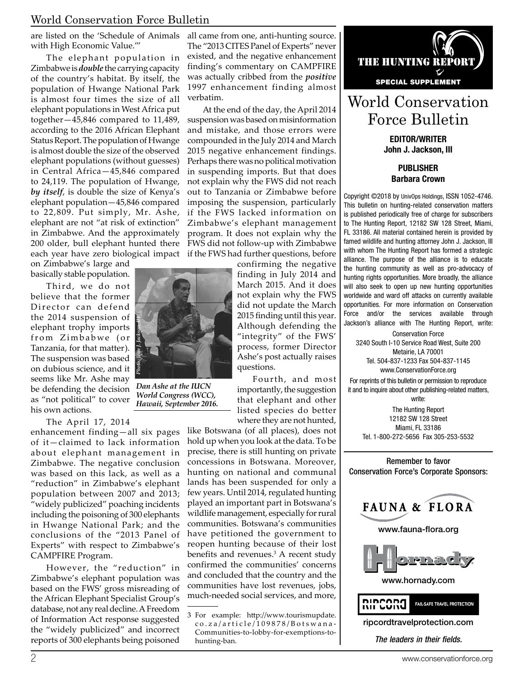### World Conservation Force Bulletin

are listed on the 'Schedule of Animals with High Economic Value.'"

The elephant population in Zimbabwe is *double* the carrying capacity of the country's habitat. By itself, the population of Hwange National Park is almost four times the size of all elephant populations in West Africa put together—45,846 compared to 11,489, according to the 2016 African Elephant Status Report. The population of Hwange is almost double the size of the observed elephant populations (without guesses) in Central Africa—45,846 compared to 24,119. The population of Hwange, *by itself*, is double the size of Kenya's elephant population—45,846 compared to 22,809. Put simply, Mr. Ashe, elephant are not "at risk of extinction" in Zimbabwe. And the approximately 200 older, bull elephant hunted there

on Zimbabwe's large and basically stable population.

Third, we do not believe that the former Director can defend the 2014 suspension of elephant trophy imports from Zimbabwe (or Tanzania, for that matter). The suspension was based on dubious science, and it seems like Mr. Ashe may be defending the decision as "not political" to cover his own actions.

The April 17, 2014

enhancement finding—all six pages of it—claimed to lack information about elephant management in Zimbabwe. The negative conclusion was based on this lack, as well as a "reduction" in Zimbabwe's elephant population between 2007 and 2013; "widely publicized" poaching incidents including the poisoning of 300 elephants in Hwange National Park; and the conclusions of the "2013 Panel of Experts" with respect to Zimbabwe's CAMPFIRE Program.

However, the "reduction" in Zimbabwe's elephant population was based on the FWS' gross misreading of the African Elephant Specialist Group's database, not any real decline. A Freedom of Information Act response suggested the "widely publicized" and incorrect reports of 300 elephants being poisoned

all came from one, anti-hunting source. The "2013 CITES Panel of Experts" never existed, and the negative enhancement finding's commentary on CAMPFIRE was actually cribbed from the *positive* 1997 enhancement finding almost verbatim.

each year have zero biological impact if the FWS had further questions, before At the end of the day, the April 2014 suspension was based on misinformation and mistake, and those errors were compounded in the July 2014 and March 2015 negative enhancement findings. Perhaps there was no political motivation in suspending imports. But that does not explain why the FWS did not reach out to Tanzania or Zimbabwe before imposing the suspension, particularly if the FWS lacked information on Zimbabwe's elephant management program. It does not explain why the FWS did not follow-up with Zimbabwe

> confirming the negative finding in July 2014 and March 2015. And it does not explain why the FWS did not update the March 2015 finding until this year. Although defending the "integrity" of the FWS' process, former Director Ashe's post actually raises questions.

Fourth, and most importantly, the suggestion that elephant and other listed species do better where they are not hunted,

like Botswana (of all places), does not hold up when you look at the data. To be precise, there is still hunting on private concessions in Botswana. Moreover, hunting on national and communal lands has been suspended for only a few years. Until 2014, regulated hunting played an important part in Botswana's wildlife management, especially for rural communities. Botswana's communities have petitioned the government to reopen hunting because of their lost benefits and revenues.<sup>3</sup> A recent study confirmed the communities' concerns and concluded that the country and the communities have lost revenues, jobs, much-needed social services, and more,



# World Conservation Force Bulletin

EDITOR/WRITER John J. Jackson, III

> PUBLISHER Barbara Crown

Copyright ©2018 by UnivOps Holdings, ISSN 1052-4746. This bulletin on hunting-related conservation matters is published periodically free of charge for subscribers to The Hunting Report, 12182 SW 128 Street, Miami, FL 33186. All material contained herein is provided by famed wildlife and hunting attorney John J. Jackson, III with whom The Hunting Report has formed a strategic alliance. The purpose of the alliance is to educate the hunting community as well as pro-advocacy of hunting rights opportunities. More broadly, the alliance will also seek to open up new hunting opportunities worldwide and ward off attacks on currently available opportunities. For more information on Conservation Force and/or the services available through Jackson's alliance with The Hunting Report, write:

Conservation Force 3240 South I-10 Service Road West, Suite 200 Metairie, LA 70001 Tel. 504-837-1233 Fax 504-837-1145 www.ConservationForce.org

For reprints of this bulletin or permission to reproduce it and to inquire about other publishing-related matters, write:

The Hunting Report 12182 SW 128 Street Miami, FL 33186 Tel. 1-800-272-5656 Fax 305-253-5532





www.fauna-flora.org



www.hornady.com



ripcordtravelprotection.com®

*The leaders in their fields.*



*Dan Ashe at the IUCN World Congress (WCC),* 

<sup>3</sup> For example: http://www.tourismupdate. co.za/article/109878/Botswana-Communities-to-lobby-for-exemptions-tohunting-ban.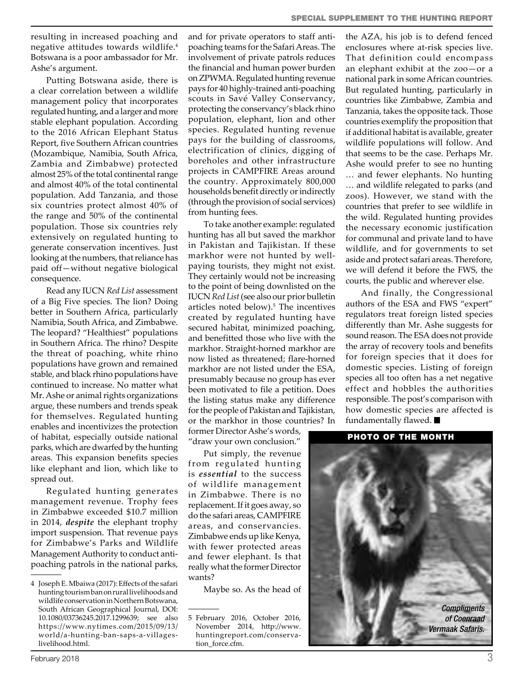resulting in increased poaching and negative attitudes towards wildlife.4 Botswana is a poor ambassador for Mr. Ashe's argument.

Putting Botswana aside, there is a clear correlation between a wildlife management policy that incorporates regulated hunting, and a larger and more stable elephant population. According to the 2016 African Elephant Status Report, five Southern African countries (Mozambique, Namibia, South Africa, Zambia and Zimbabwe) protected almost 25% of the total continental range and almost 40% of the total continental population. Add Tanzania, and those six countries protect almost 40% of the range and 50% of the continental population. Those six countries rely extensively on regulated hunting to generate conservation incentives. Just looking at the numbers, that reliance has paid off—without negative biological consequence.

Read any IUCN *Red List* assessment of a Big Five species. The lion? Doing better in Southern Africa, particularly Namibia, South Africa, and Zimbabwe. The leopard? "Healthiest" populations in Southern Africa. The rhino? Despite the threat of poaching, white rhino populations have grown and remained stable, and black rhino populations have continued to increase. No matter what Mr. Ashe or animal rights organizations argue, these numbers and trends speak for themselves. Regulated hunting enables and incentivizes the protection of habitat, especially outside national parks, which are dwarfed by the hunting areas. This expansion benefits species like elephant and lion, which like to spread out.

Regulated hunting generates management revenue. Trophy fees in Zimbabwe exceeded \$10.7 million in 2014, *despite* the elephant trophy import suspension. That revenue pays for Zimbabwe's Parks and Wildlife Management Authority to conduct antipoaching patrols in the national parks,

and for private operators to staff antipoaching teams for the Safari Areas. The involvement of private patrols reduces the financial and human power burden on ZPWMA. Regulated hunting revenue pays for 40 highly-trained anti-poaching scouts in Savé Valley Conservancy, protecting the conservancy's black rhino population, elephant, lion and other species. Regulated hunting revenue pays for the building of classrooms, electrification of clinics, digging of boreholes and other infrastructure projects in CAMPFIRE Areas around the country. Approximately 800,000 households benefit directly or indirectly (through the provision of social services) from hunting fees.

To take another example: regulated hunting has all but saved the markhor in Pakistan and Tajikistan. If these markhor were not hunted by wellpaying tourists, they might not exist. They certainly would not be increasing to the point of being downlisted on the IUCN *Red List* (see also our prior bulletin articles noted below).<sup>5</sup> The incentives created by regulated hunting have secured habitat, minimized poaching, and benefitted those who live with the markhor. Straight-horned markhor are now listed as threatened; flare-horned markhor are not listed under the ESA, presumably because no group has ever been motivated to file a petition. Does the listing status make any difference for the people of Pakistan and Tajikistan, or the markhor in those countries? In

former Director Ashe's words, "draw your own conclusion."

Put simply, the revenue from regulated hunting is *essential* to the success of wildlife management in Zimbabwe. There is no replacement. If it goes away, so do the safari areas, CAMPFIRE areas, and conservancies. Zimbabwe ends up like Kenya, with fewer protected areas and fewer elephant. Is that really what the former Director wants?

Maybe so. As the head of

the AZA, his job is to defend fenced enclosures where at-risk species live. That definition could encompass an elephant exhibit at the zoo—or a national park in some African countries. But regulated hunting, particularly in countries like Zimbabwe, Zambia and Tanzania, takes the opposite tack. Those countries exemplify the proposition that if additional habitat is available, greater wildlife populations will follow. And that seems to be the case. Perhaps Mr. Ashe would prefer to see no hunting … and fewer elephants. No hunting … and wildlife relegated to parks (and zoos). However, we stand with the countries that prefer to see wildlife in the wild. Regulated hunting provides the necessary economic justification for communal and private land to have wildlife, and for governments to set aside and protect safari areas. Therefore, we will defend it before the FWS, the courts, the public and wherever else.

And finally, the Congressional authors of the ESA and FWS "expert" regulators treat foreign listed species differently than Mr. Ashe suggests for sound reason. The ESA does not provide the array of recovery tools and benefits for foreign species that it does for domestic species. Listing of foreign species all too often has a net negative effect and hobbles the authorities responsible. The post's comparison with how domestic species are affected is fundamentally flawed.

#### PHOTO OF THE MONTH



<sup>4</sup> Joseph E. Mbaiwa (2017): Effects of the safari hunting tourism ban on rural livelihoods and wildlife conservation in Northern Botswana, South African Geographical Journal, DOI: 10.1080/03736245.2017.1299639; see also https://www.nytimes.com/2015/09/13/ world/a-hunting-ban-saps-a-villageslivelihood.html.

<sup>5</sup> February 2016, October 2016, November 2014, http://www. huntingreport.com/conservation\_force.cfm.